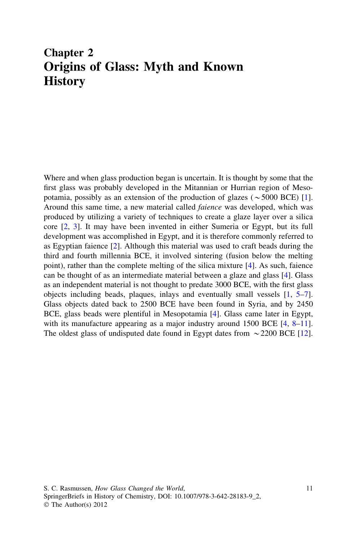## Chapter 2 Origins of Glass: Myth and Known **History**

Where and when glass production began is uncertain. It is thought by some that the first glass was probably developed in the Mitannian or Hurrian region of Mesopotamia, possibly as an extension of the production of glazes ( $\sim$  5000 BCE) [[1\]](#page-8-0). Around this same time, a new material called faience was developed, which was produced by utilizing a variety of techniques to create a glaze layer over a silica core [[2,](#page-8-0) [3](#page-8-0)]. It may have been invented in either Sumeria or Egypt, but its full development was accomplished in Egypt, and it is therefore commonly referred to as Egyptian faience [\[2](#page-8-0)]. Although this material was used to craft beads during the third and fourth millennia BCE, it involved sintering (fusion below the melting point), rather than the complete melting of the silica mixture [\[4](#page-8-0)]. As such, faience can be thought of as an intermediate material between a glaze and glass [[4\]](#page-8-0). Glass as an independent material is not thought to predate 3000 BCE, with the first glass objects including beads, plaques, inlays and eventually small vessels [[1,](#page-8-0) [5–7\]](#page-8-0). Glass objects dated back to 2500 BCE have been found in Syria, and by 2450 BCE, glass beads were plentiful in Mesopotamia [[4\]](#page-8-0). Glass came later in Egypt, with its manufacture appearing as a major industry around 1500 BCE [[4,](#page-8-0) [8–11\]](#page-8-0). The oldest glass of undisputed date found in Egypt dates from  $\sim$  2200 BCE [[12\]](#page-8-0).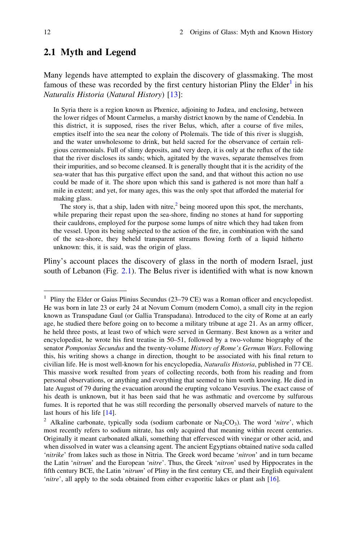## 2.1 Myth and Legend

Many legends have attempted to explain the discovery of glassmaking. The most famous of these was recorded by the first century historian Pliny the Elder<sup>1</sup> in his Naturalis Historia (Natural History) [\[13](#page-8-0)]:

In Syria there is a region known as Phœnice, adjoining to Judæa, and enclosing, between the lower ridges of Mount Carmelus, a marshy district known by the name of Cendebia. In this district, it is supposed, rises the river Belus, which, after a course of five miles, empties itself into the sea near the colony of Ptolemaïs. The tide of this river is sluggish, and the water unwholesome to drink, but held sacred for the observance of certain religious ceremonials. Full of slimy deposits, and very deep, it is only at the reflux of the tide that the river discloses its sands; which, agitated by the waves, separate themselves from their impurities, and so become cleansed. It is generally thought that it is the acridity of the sea-water that has this purgative effect upon the sand, and that without this action no use could be made of it. The shore upon which this sand is gathered is not more than half a mile in extent; and yet, for many ages, this was the only spot that afforded the material for making glass.

The story is, that a ship, laden with nitre, $\frac{2}{3}$  being moored upon this spot, the merchants, while preparing their repast upon the sea-shore, finding no stones at hand for supporting their cauldrons, employed for the purpose some lumps of nitre which they had taken from the vessel. Upon its being subjected to the action of the fire, in combination with the sand of the sea-shore, they beheld transparent streams flowing forth of a liquid hitherto unknown: this, it is said, was the origin of glass.

Pliny's account places the discovery of glass in the north of modern Israel, just south of Lebanon (Fig. [2.1](#page-2-0)). The Belus river is identified with what is now known

<sup>&</sup>lt;sup>1</sup> Pliny the Elder or Gaius Plinius Secundus (23–79 CE) was a Roman officer and encyclopedist. He was born in late 23 or early 24 at Novum Comum (modern Como), a small city in the region known as Transpadane Gaul (or Gallia Transpadana). Introduced to the city of Rome at an early age, he studied there before going on to become a military tribune at age 21. As an army officer, he held three posts, at least two of which were served in Germany. Best known as a writer and encyclopedist, he wrote his first treatise in 50–51, followed by a two-volume biography of the senator Pomponius Secundus and the twenty-volume History of Rome's German Wars. Following this, his writing shows a change in direction, thought to be associated with his final return to civilian life. He is most well-known for his encyclopedia, Naturalis Historia, published in 77 CE. This massive work resulted from years of collecting records, both from his reading and from personal observations, or anything and everything that seemed to him worth knowing. He died in late August of 79 during the evacuation around the erupting volcano Vesuvius. The exact cause of his death is unknown, but it has been said that he was asthmatic and overcome by sulfurous fumes. It is reported that he was still recording the personally observed marvels of nature to the last hours of his life [[14](#page-8-0)].

<sup>&</sup>lt;sup>2</sup> Alkaline carbonate, typically soda (sodium carbonate or  $Na<sub>2</sub>CO<sub>3</sub>$ ). The word 'nitre', which most recently refers to sodium nitrate, has only acquired that meaning within recent centuries. Originally it meant carbonated alkali, something that effervesced with vinegar or other acid, and when dissolved in water was a cleansing agent. The ancient Egyptians obtained native soda called 'nitrike' from lakes such as those in Nitria. The Greek word became 'nitron' and in turn became the Latin 'nitrum' and the European 'nitre'. Thus, the Greek 'nitron' used by Hippocrates in the fifth century BCE, the Latin 'nitrum' of Pliny in the first century CE, and their English equivalent 'nitre', all apply to the soda obtained from either evaporitic lakes or plant ash [\[16\]](#page-8-0).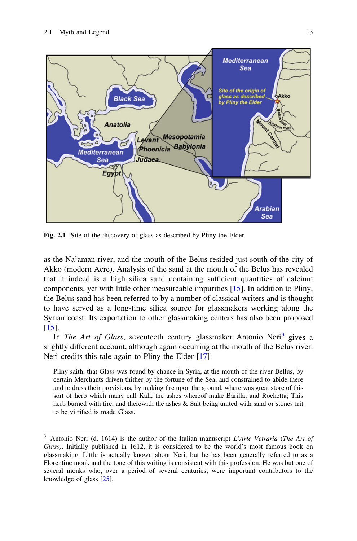<span id="page-2-0"></span>

Fig. 2.1 Site of the discovery of glass as described by Pliny the Elder

as the Na'aman river, and the mouth of the Belus resided just south of the city of Akko (modern Acre). Analysis of the sand at the mouth of the Belus has revealed that it indeed is a high silica sand containing sufficient quantities of calcium components, yet with little other measureable impurities [[15\]](#page-8-0). In addition to Pliny, the Belus sand has been referred to by a number of classical writers and is thought to have served as a long-time silica source for glassmakers working along the Syrian coast. Its exportation to other glassmaking centers has also been proposed [\[15](#page-8-0)].

In The Art of Glass, seventeeth century glassmaker Antonio Neri<sup>3</sup> gives a slightly different account, although again occurring at the mouth of the Belus river. Neri credits this tale again to Pliny the Elder [\[17](#page-8-0)]:

Pliny saith, that Glass was found by chance in Syria, at the mouth of the river Bellus, by certain Merchants driven thither by the fortune of the Sea, and constrained to abide there and to dress their provisions, by making fire upon the ground, where was great store of this sort of herb which many call Kali, the ashes whereof make Barilla, and Rochetta; This herb burned with fire, and therewith the ashes & Salt being united with sand or stones frit to be vitrified is made Glass.

<sup>3</sup> Antonio Neri (d. 1614) is the author of the Italian manuscript L'Arte Vetraria (The Art of Glass). Initially published in 1612, it is considered to be the world's most famous book on glassmaking. Little is actually known about Neri, but he has been generally referred to as a Florentine monk and the tone of this writing is consistent with this profession. He was but one of several monks who, over a period of several centuries, were important contributors to the knowledge of glass [\[25\]](#page-8-0).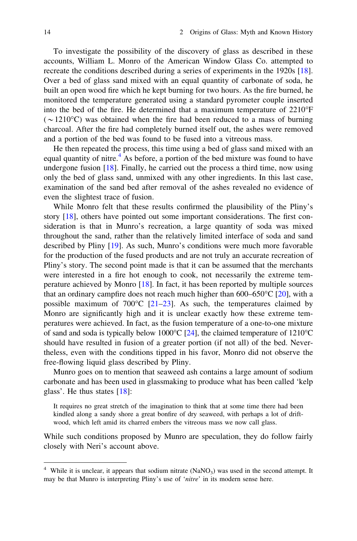To investigate the possibility of the discovery of glass as described in these accounts, William L. Monro of the American Window Glass Co. attempted to recreate the conditions described during a series of experiments in the 1920s [[18\]](#page-8-0). Over a bed of glass sand mixed with an equal quantity of carbonate of soda, he built an open wood fire which he kept burning for two hours. As the fire burned, he monitored the temperature generated using a standard pyrometer couple inserted into the bed of the fire. He determined that a maximum temperature of  $2210^{\circ}F$  $(\sim 1210^{\circ}C)$  was obtained when the fire had been reduced to a mass of burning charcoal. After the fire had completely burned itself out, the ashes were removed and a portion of the bed was found to be fused into a vitreous mass.

He then repeated the process, this time using a bed of glass sand mixed with an equal quantity of nitre.<sup>4</sup> As before, a portion of the bed mixture was found to have undergone fusion [\[18](#page-8-0)]. Finally, he carried out the process a third time, now using only the bed of glass sand, unmixed with any other ingredients. In this last case, examination of the sand bed after removal of the ashes revealed no evidence of even the slightest trace of fusion.

While Monro felt that these results confirmed the plausibility of the Pliny's story [[18](#page-8-0)], others have pointed out some important considerations. The first consideration is that in Munro's recreation, a large quantity of soda was mixed throughout the sand, rather than the relatively limited interface of soda and sand described by Pliny [\[19](#page-8-0)]. As such, Munro's conditions were much more favorable for the production of the fused products and are not truly an accurate recreation of Pliny's story. The second point made is that it can be assumed that the merchants were interested in a fire hot enough to cook, not necessarily the extreme temperature achieved by Monro [\[18\]](#page-8-0). In fact, it has been reported by multiple sources that an ordinary campfire does not reach much higher than  $600-650^{\circ}C$  [\[20](#page-8-0)], with a possible maximum of  $700^{\circ}C$  [\[21–23\]](#page-8-0). As such, the temperatures claimed by Monro are significantly high and it is unclear exactly how these extreme temperatures were achieved. In fact, as the fusion temperature of a one-to-one mixture of sand and soda is typically below 1000 $^{\circ}$ C [\[24\]](#page-8-0), the claimed temperature of 1210 $^{\circ}$ C should have resulted in fusion of a greater portion (if not all) of the bed. Nevertheless, even with the conditions tipped in his favor, Monro did not observe the free-flowing liquid glass described by Pliny.

Munro goes on to mention that seaweed ash contains a large amount of sodium carbonate and has been used in glassmaking to produce what has been called 'kelp glass'. He thus states [[18\]](#page-8-0):

It requires no great stretch of the imagination to think that at some time there had been kindled along a sandy shore a great bonfire of dry seaweed, with perhaps a lot of driftwood, which left amid its charred embers the vitreous mass we now call glass.

While such conditions proposed by Munro are speculation, they do follow fairly closely with Neri's account above.

<sup>&</sup>lt;sup>4</sup> While it is unclear, it appears that sodium nitrate  $(NaNO<sub>3</sub>)$  was used in the second attempt. It may be that Munro is interpreting Pliny's use of 'nitre' in its modern sense here.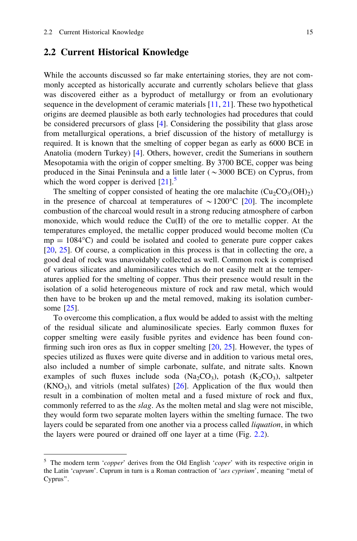## 2.2 Current Historical Knowledge

While the accounts discussed so far make entertaining stories, they are not commonly accepted as historically accurate and currently scholars believe that glass was discovered either as a byproduct of metallurgy or from an evolutionary sequence in the development of ceramic materials  $[11, 21]$  $[11, 21]$  $[11, 21]$  $[11, 21]$ . These two hypothetical origins are deemed plausible as both early technologies had procedures that could be considered precursors of glass [\[4](#page-8-0)]. Considering the possibility that glass arose from metallurgical operations, a brief discussion of the history of metallurgy is required. It is known that the smelting of copper began as early as 6000 BCE in Anatolia (modern Turkey) [\[4](#page-8-0)]. Others, however, credit the Sumerians in southern Mesopotamia with the origin of copper smelting. By 3700 BCE, copper was being produced in the Sinai Peninsula and a little later ( $\sim$ 3000 BCE) on Cyprus, from which the word copper is derived  $[21]$  $[21]$ <sup>5</sup>

The smelting of copper consisted of heating the ore malachite  $(Cu_2CO_3(OH)_2)$ in the presence of charcoal at temperatures of  $\sim$ 1200°C [[20\]](#page-8-0). The incomplete combustion of the charcoal would result in a strong reducing atmosphere of carbon monoxide, which would reduce the  $Cu(II)$  of the ore to metallic copper. At the temperatures employed, the metallic copper produced would become molten (Cu  $mp = 1084^{\circ}$ C) and could be isolated and cooled to generate pure copper cakes [\[20](#page-8-0), [25\]](#page-8-0). Of course, a complication in this process is that in collecting the ore, a good deal of rock was unavoidably collected as well. Common rock is comprised of various silicates and aluminosilicates which do not easily melt at the temperatures applied for the smelting of copper. Thus their presence would result in the isolation of a solid heterogeneous mixture of rock and raw metal, which would then have to be broken up and the metal removed, making its isolation cumbersome [[25\]](#page-8-0).

To overcome this complication, a flux would be added to assist with the melting of the residual silicate and aluminosilicate species. Early common fluxes for copper smelting were easily fusible pyrites and evidence has been found confirming such iron ores as flux in copper smelting  $[20, 25]$  $[20, 25]$  $[20, 25]$ . However, the types of species utilized as fluxes were quite diverse and in addition to various metal ores, also included a number of simple carbonate, sulfate, and nitrate salts. Known examples of such fluxes include soda (Na<sub>2</sub>CO<sub>3</sub>), potash (K<sub>2</sub>CO<sub>3</sub>), saltpeter  $(KNO<sub>3</sub>)$ , and vitriols (metal sulfates) [[26\]](#page-8-0). Application of the flux would then result in a combination of molten metal and a fused mixture of rock and flux, commonly referred to as the *slag*. As the molten metal and slag were not miscible, they would form two separate molten layers within the smelting furnace. The two layers could be separated from one another via a process called *liquation*, in which the layers were poured or drained off one layer at a time (Fig. [2.2\)](#page-5-0).

 $5$  The modern term 'copper' derives from the Old English 'coper' with its respective origin in the Latin 'cuprum'. Cuprum in turn is a Roman contraction of 'aes cyprium', meaning "metal of Cyprus''.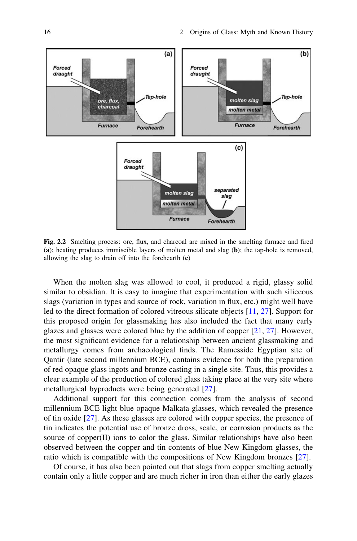<span id="page-5-0"></span>

Fig. 2.2 Smelting process: ore, flux, and charcoal are mixed in the smelting furnace and fired (a); heating produces immiscible layers of molten metal and slag (b); the tap-hole is removed, allowing the slag to drain off into the forehearth (c)

When the molten slag was allowed to cool, it produced a rigid, glassy solid similar to obsidian. It is easy to imagine that experimentation with such siliceous slags (variation in types and source of rock, variation in flux, etc.) might well have led to the direct formation of colored vitreous silicate objects [[11,](#page-8-0) [27](#page-8-0)]. Support for this proposed origin for glassmaking has also included the fact that many early glazes and glasses were colored blue by the addition of copper [[21,](#page-8-0) [27\]](#page-8-0). However, the most significant evidence for a relationship between ancient glassmaking and metallurgy comes from archaeological finds. The Ramesside Egyptian site of Qantir (late second millennium BCE), contains evidence for both the preparation of red opaque glass ingots and bronze casting in a single site. Thus, this provides a clear example of the production of colored glass taking place at the very site where metallurgical byproducts were being generated [[27\]](#page-8-0).

Additional support for this connection comes from the analysis of second millennium BCE light blue opaque Malkata glasses, which revealed the presence of tin oxide [\[27](#page-8-0)]. As these glasses are colored with copper species, the presence of tin indicates the potential use of bronze dross, scale, or corrosion products as the source of copper $(II)$  ions to color the glass. Similar relationships have also been observed between the copper and tin contents of blue New Kingdom glasses, the ratio which is compatible with the compositions of New Kingdom bronzes [\[27](#page-8-0)].

Of course, it has also been pointed out that slags from copper smelting actually contain only a little copper and are much richer in iron than either the early glazes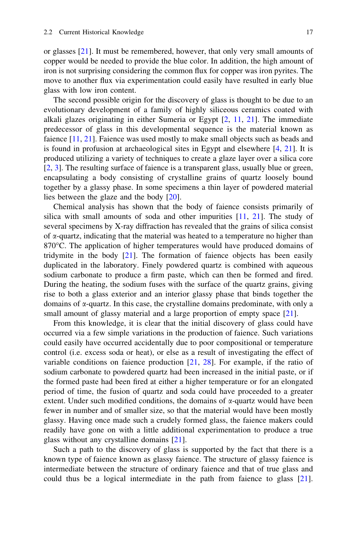or glasses [\[21](#page-8-0)]. It must be remembered, however, that only very small amounts of copper would be needed to provide the blue color. In addition, the high amount of iron is not surprising considering the common flux for copper was iron pyrites. The move to another flux via experimentation could easily have resulted in early blue glass with low iron content.

The second possible origin for the discovery of glass is thought to be due to an evolutionary development of a family of highly siliceous ceramics coated with alkali glazes originating in either Sumeria or Egypt [\[2](#page-8-0), [11](#page-8-0), [21\]](#page-8-0). The immediate predecessor of glass in this developmental sequence is the material known as faience [[11,](#page-8-0) [21\]](#page-8-0). Faience was used mostly to make small objects such as beads and is found in profusion at archaeological sites in Egypt and elsewhere [\[4](#page-8-0), [21](#page-8-0)]. It is produced utilizing a variety of techniques to create a glaze layer over a silica core [\[2](#page-8-0), [3](#page-8-0)]. The resulting surface of faience is a transparent glass, usually blue or green, encapsulating a body consisting of crystalline grains of quartz loosely bound together by a glassy phase. In some specimens a thin layer of powdered material lies between the glaze and the body [[20\]](#page-8-0).

Chemical analysis has shown that the body of faience consists primarily of silica with small amounts of soda and other impurities [[11,](#page-8-0) [21\]](#page-8-0). The study of several specimens by X-ray diffraction has revealed that the grains of silica consist of  $\alpha$ -quartz, indicating that the material was heated to a temperature no higher than 870°C. The application of higher temperatures would have produced domains of tridymite in the body [[21\]](#page-8-0). The formation of faience objects has been easily duplicated in the laboratory. Finely powdered quartz is combined with aqueous sodium carbonate to produce a firm paste, which can then be formed and fired. During the heating, the sodium fuses with the surface of the quartz grains, giving rise to both a glass exterior and an interior glassy phase that binds together the domains of  $\alpha$ -quartz. In this case, the crystalline domains predominate, with only a small amount of glassy material and a large proportion of empty space [[21\]](#page-8-0).

From this knowledge, it is clear that the initial discovery of glass could have occurred via a few simple variations in the production of faience. Such variations could easily have occurred accidentally due to poor compositional or temperature control (i.e. excess soda or heat), or else as a result of investigating the effect of variable conditions on faience production  $[21, 28]$  $[21, 28]$  $[21, 28]$  $[21, 28]$  $[21, 28]$ . For example, if the ratio of sodium carbonate to powdered quartz had been increased in the initial paste, or if the formed paste had been fired at either a higher temperature or for an elongated period of time, the fusion of quartz and soda could have proceeded to a greater extent. Under such modified conditions, the domains of  $\alpha$ -quartz would have been fewer in number and of smaller size, so that the material would have been mostly glassy. Having once made such a crudely formed glass, the faience makers could readily have gone on with a little additional experimentation to produce a true glass without any crystalline domains [\[21](#page-8-0)].

Such a path to the discovery of glass is supported by the fact that there is a known type of faience known as glassy faience. The structure of glassy faience is intermediate between the structure of ordinary faience and that of true glass and could thus be a logical intermediate in the path from faience to glass [[21\]](#page-8-0).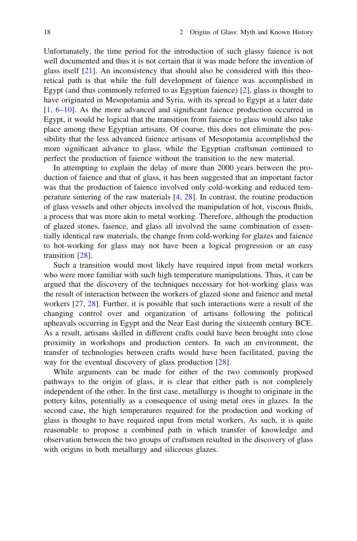Unfortunately, the time period for the introduction of such glassy faience is not well documented and thus it is not certain that it was made before the invention of glass itself [\[21](#page-8-0)]. An inconsistency that should also be considered with this theoretical path is that while the full development of faience was accomplished in Egypt (and thus commonly referred to as Egyptian faience) [[2\]](#page-8-0), glass is thought to have originated in Mesopotamia and Syria, with its spread to Egypt at a later date [\[1](#page-8-0), [6–10](#page-8-0)]. As the more advanced and significant faience production occurred in Egypt, it would be logical that the transition from faience to glass would also take place among these Egyptian artisans. Of course, this does not eliminate the possibility that the less advanced faience artisans of Mesopotamia accomplished the more significant advance to glass, while the Egyptian craftsman continued to perfect the production of faience without the transition to the new material.

In attempting to explain the delay of more than 2000 years between the production of faience and that of glass, it has been suggested that an important factor was that the production of faience involved only cold-working and reduced temperature sintering of the raw materials [[4,](#page-8-0) [28](#page-8-0)]. In contrast, the routine production of glass vessels and other objects involved the manipulation of hot, viscous fluids, a process that was more akin to metal working. Therefore, although the production of glazed stones, faience, and glass all involved the same combination of essentially identical raw materials, the change from cold-working for glazes and faience to hot-working for glass may not have been a logical progression or an easy transition [\[28](#page-8-0)].

Such a transition would most likely have required input from metal workers who were more familiar with such high temperature manipulations. Thus, it can be argued that the discovery of the techniques necessary for hot-working glass was the result of interaction between the workers of glazed stone and faience and metal workers [\[27](#page-8-0), [28](#page-8-0)]. Further, it is possible that such interactions were a result of the changing control over and organization of artisans following the political upheavals occurring in Egypt and the Near East during the sixteenth century BCE. As a result, artisans skilled in different crafts could have been brought into close proximity in workshops and production centers. In such an environment, the transfer of technologies between crafts would have been facilitated, paving the way for the eventual discovery of glass production [[28\]](#page-8-0).

While arguments can be made for either of the two commonly proposed pathways to the origin of glass, it is clear that either path is not completely independent of the other. In the first case, metallurgy is thought to originate in the pottery kilns, potentially as a consequence of using metal ores in glazes. In the second case, the high temperatures required for the production and working of glass is thought to have required input from metal workers. As such, it is quite reasonable to propose a combined path in which transfer of knowledge and observation between the two groups of craftsmen resulted in the discovery of glass with origins in both metallurgy and siliceous glazes.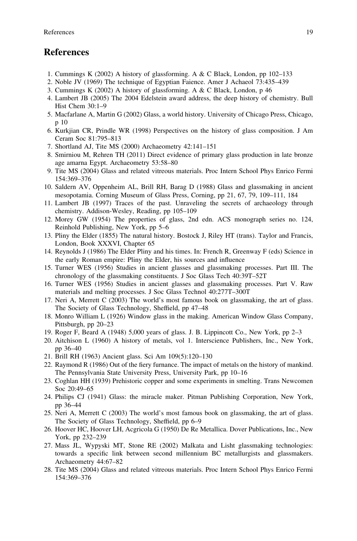## <span id="page-8-0"></span>References

- 1. Cummings K (2002) A history of glassforming. A & C Black, London, pp 102–133
- 2. Noble JV (1969) The technique of Egyptian Faience. Amer J Achaeol 73:435–439
- 3. Cummings K (2002) A history of glassforming. A & C Black, London, p 46
- 4. Lambert JB (2005) The 2004 Edelstein award address, the deep history of chemistry. Bull Hist Chem 30:1–9
- 5. Macfarlane A, Martin G (2002) Glass, a world history. University of Chicago Press, Chicago, p 10
- 6. Kurkjian CR, Prindle WR (1998) Perspectives on the history of glass composition. J Am Ceram Soc 81:795–813
- 7. Shortland AJ, Tite MS (2000) Archaeometry 42:141–151
- 8. Smirniou M, Rehren TH (2011) Direct evidence of primary glass production in late bronze age amarna Egypt. Archaeometry 53:58–80
- 9. Tite MS (2004) Glass and related vitreous materials. Proc Intern School Phys Enrico Fermi 154:369–376
- 10. Saldern AV, Oppenheim AL, Brill RH, Barag D (1988) Glass and glassmaking in ancient mesopotamia. Corning Museum of Glass Press, Corning, pp 21, 67, 79, 109–111, 184
- 11. Lambert JB (1997) Traces of the past. Unraveling the secrets of archaeology through chemistry. Addison-Wesley, Reading, pp 105–109
- 12. Morey GW (1954) The properties of glass, 2nd edn. ACS monograph series no. 124, Reinhold Publishing, New York, pp 5–6
- 13. Pliny the Elder (1855) The natural history. Bostock J, Riley HT (trans). Taylor and Francis, London, Book XXXVI, Chapter 65
- 14. Reynolds J (1986) The Elder Pliny and his times. In: French R, Greenway F (eds) Science in the early Roman empire: Pliny the Elder, his sources and influence
- 15. Turner WES (1956) Studies in ancient glasses and glassmaking processes. Part III. The chronology of the glassmaking constituents. J Soc Glass Tech 40:39T–52T
- 16. Turner WES (1956) Studies in ancient glasses and glassmaking processes. Part V. Raw materials and melting processes. J Soc Glass Technol 40:277T–300T
- 17. Neri A, Merrett C (2003) The world's most famous book on glassmaking, the art of glass. The Society of Glass Technology, Sheffield, pp 47–48
- 18. Monro William L (1926) Window glass in the making. American Window Glass Company, Pittsburgh, pp 20–23
- 19. Roger F, Beard A (1948) 5,000 years of glass. J. B. Lippincott Co., New York, pp 2–3
- 20. Aitchison L (1960) A history of metals, vol 1. Interscience Publishers, Inc., New York, pp 36–40
- 21. Brill RH (1963) Ancient glass. Sci Am 109(5):120–130
- 22. Raymond R (1986) Out of the fiery furnance. The impact of metals on the history of mankind. The Pennsylvania State University Press, University Park, pp 10–16
- 23. Coghlan HH (1939) Prehistoric copper and some experiments in smelting. Trans Newcomen Soc 20:49–65
- 24. Philips CJ (1941) Glass: the miracle maker. Pitman Publishing Corporation, New York, pp 36–44
- 25. Neri A, Merrett C (2003) The world's most famous book on glassmaking, the art of glass. The Society of Glass Technology, Sheffield, pp 6–9
- 26. Hoover HC, Hoover LH, Acgricola G (1950) De Re Metallica. Dover Publications, Inc., New York, pp 232–239
- 27. Mass JL, Wypyski MT, Stone RE (2002) Malkata and Lisht glassmaking technologies: towards a specific link between second millennium BC metallurgists and glassmakers. Archaeometry 44:67–82
- 28. Tite MS (2004) Glass and related vitreous materials. Proc Intern School Phys Enrico Fermi 154:369–376